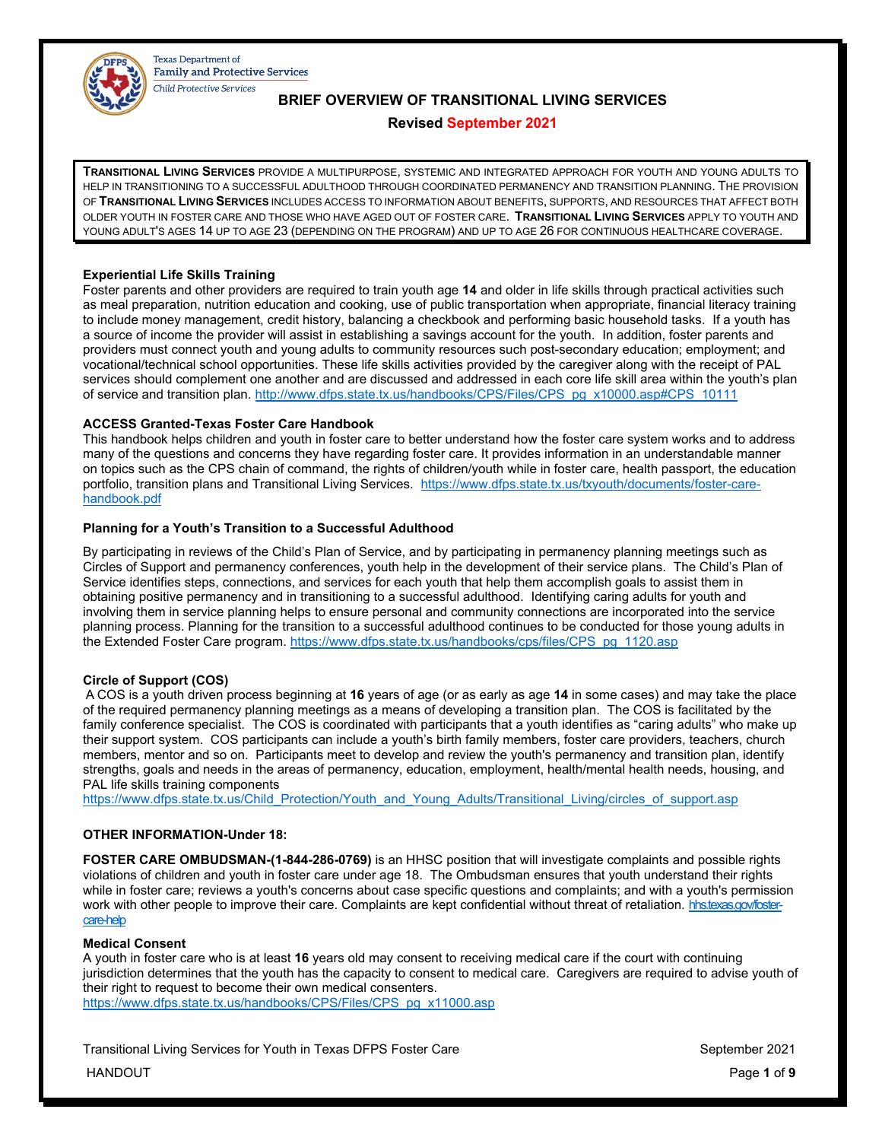

# **BRIEF OVERVIEW OF TRANSITIONAL LIVING SERVICES**

# **Revised September 2021**

**TRANSITIONAL LIVING SERVICES** PROVIDE A MULTIPURPOSE, SYSTEMIC AND INTEGRATED APPROACH FOR YOUTH AND YOUNG ADULTS TO HELP IN TRANSITIONING TO A SUCCESSFUL ADULTHOOD THROUGH COORDINATED PERMANENCY AND TRANSITION PLANNING. THE PROVISION OF **TRANSITIONAL LIVING SERVICES** INCLUDES ACCESS TO INFORMATION ABOUT BENEFITS, SUPPORTS, AND RESOURCES THAT AFFECT BOTH OLDER YOUTH IN FOSTER CARE AND THOSE WHO HAVE AGED OUT OF FOSTER CARE. **TRANSITIONAL LIVING SERVICES** APPLY TO YOUTH AND YOUNG ADULT'S AGES 14 UP TO AGE 23 (DEPENDING ON THE PROGRAM) AND UP TO AGE 26 FOR CONTINUOUS HEALTHCARE COVERAGE.

# **Experiential Life Skills Training**

Foster parents and other providers are required to train youth age **14** and older in life skills through practical activities such as meal preparation, nutrition education and cooking, use of public transportation when appropriate, financial literacy training to include money management, credit history, balancing a checkbook and performing basic household tasks. If a youth has a source of income the provider will assist in establishing a savings account for the youth. In addition, foster parents and providers must connect youth and young adults to community resources such post-secondary education; employment; and vocational/technical school opportunities. These life skills activities provided by the caregiver along with the receipt of PAL services should complement one another and are discussed and addressed in each core life skill area within the youth's plan of service and transition plan. [http://www.dfps.state.tx.us/handbooks/CPS/Files/CPS\\_pg\\_x10000.asp#CPS\\_10111](http://www.dfps.state.tx.us/handbooks/CPS/Files/CPS_pg_x10000.asp#CPS_10111)

# **ACCESS Granted-Texas Foster Care Handbook**

This handbook helps children and youth in foster care to better understand how the foster care system works and to address many of the questions and concerns they have regarding foster care. It provides information in an understandable manner on topics such as the CPS chain of command, the rights of children/youth while in foster care, health passport, the education portfolio, transition plans and Transitional Living Services. [https://www.dfps.state.tx.us/txyouth/documents/foster-care](https://www.dfps.state.tx.us/txyouth/documents/foster-care-handbook.pdf)[handbook.pdf](https://www.dfps.state.tx.us/txyouth/documents/foster-care-handbook.pdf)

# **Planning for a Youth's Transition to a Successful Adulthood**

By participating in reviews of the Child's Plan of Service, and by participating in permanency planning meetings such as Circles of Support and permanency conferences, youth help in the development of their service plans. The Child's Plan of Service identifies steps, connections, and services for each youth that help them accomplish goals to assist them in obtaining positive permanency and in transitioning to a successful adulthood. Identifying caring adults for youth and involving them in service planning helps to ensure personal and community connections are incorporated into the service planning process. Planning for the transition to a successful adulthood continues to be conducted for those young adults in the Extended Foster Care program[. https://www.dfps.state.tx.us/handbooks/cps/files/CPS\\_pg\\_1120.asp](https://www.dfps.state.tx.us/handbooks/cps/files/CPS_pg_1120.asp)

# **Circle of Support (COS)**

A COS is a youth driven process beginning at **16** years of age (or as early as age **14** in some cases) and may take the place of the required permanency planning meetings as a means of developing a transition plan. The COS is facilitated by the family conference specialist. The COS is coordinated with participants that a youth identifies as "caring adults" who make up their support system. COS participants can include a youth's birth family members, foster care providers, teachers, church members, mentor and so on. Participants meet to develop and review the youth's permanency and transition plan, identify strengths, goals and needs in the areas of permanency, education, employment, health/mental health needs, housing, and PAL life skills training components

[https://www.dfps.state.tx.us/Child\\_Protection/Youth\\_and\\_Young\\_Adults/Transitional\\_Living/circles\\_of\\_support.asp](https://www.dfps.state.tx.us/Child_Protection/Youth_and_Young_Adults/Transitional_Living/circles_of_support.asp)

# **OTHER INFORMATION-Under 18:**

**FOSTER CARE OMBUDSMAN-(1-844-286-0769)** is an HHSC position that will investigate complaints and possible rights violations of children and youth in foster care under age 18. The Ombudsman ensures that youth understand their rights while in foster care; reviews a youth's concerns about case specific questions and complaints; and with a youth's permission work with other people to improve their care. Complaints are kept confidential without threat of retaliation. [hhs.texas.gov/foster](https://hhs.texas.gov/about-hhs/your-rights/ombudsman-foster-care-help)[care-help](https://hhs.texas.gov/about-hhs/your-rights/ombudsman-foster-care-help)

# **Medical Consent**

A youth in foster care who is at least **16** years old may consent to receiving medical care if the court with continuing jurisdiction determines that the youth has the capacity to consent to medical care. Caregivers are required to advise youth of their right to request to become their own medical consenters. [https://www.dfps.state.tx.us/handbooks/CPS/Files/CPS\\_pg\\_x11000.asp](https://www.dfps.state.tx.us/handbooks/CPS/Files/CPS_pg_x11000.asp)

Transitional Living Services for Youth in Texas DFPS Foster Care September 2021

HANDOUT Page **1** of **9**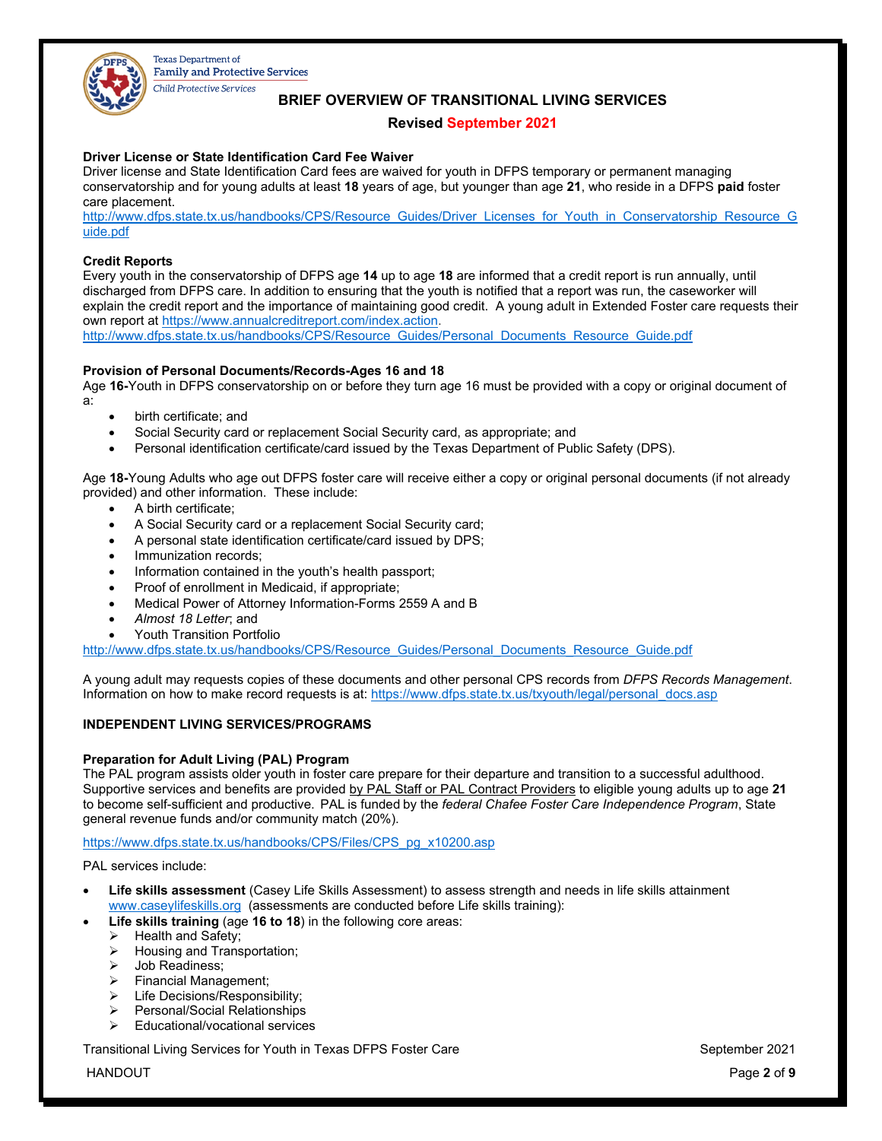

# **BRIEF OVERVIEW OF TRANSITIONAL LIVING SERVICES**

# **Revised September 2021**

# **Driver License or State Identification Card Fee Waiver**

Driver license and State Identification Card fees are waived for youth in DFPS temporary or permanent managing conservatorship and for young adults at least **18** years of age, but younger than age **21**, who reside in a DFPS **paid** foster care placement.

[http://www.dfps.state.tx.us/handbooks/CPS/Resource\\_Guides/Driver\\_Licenses\\_for\\_Youth\\_in\\_Conservatorship\\_Resource\\_G](http://www.dfps.state.tx.us/handbooks/CPS/Resource_Guides/Driver_Licenses_for_Youth_in_Conservatorship_Resource_Guide.pdf) [uide.pdf](http://www.dfps.state.tx.us/handbooks/CPS/Resource_Guides/Driver_Licenses_for_Youth_in_Conservatorship_Resource_Guide.pdf)

# **Credit Reports**

Every youth in the conservatorship of DFPS age **14** up to age **18** are informed that a credit report is run annually, until discharged from DFPS care. In addition to ensuring that the youth is notified that a report was run, the caseworker will explain the credit report and the importance of maintaining good credit. A young adult in Extended Foster care requests their own report a[t https://www.annualcreditreport.com/index.action.](https://www.annualcreditreport.com/index.action)

[http://www.dfps.state.tx.us/handbooks/CPS/Resource\\_Guides/Personal\\_Documents\\_Resource\\_Guide.pdf](http://www.dfps.state.tx.us/handbooks/CPS/Resource_Guides/Personal_Documents_Resource_Guide.pdf)

# **Provision of Personal Documents/Records-Ages 16 and 18**

Age **16-**Youth in DFPS conservatorship on or before they turn age 16 must be provided with a copy or original document of a:

- birth certificate; and
- Social Security card or replacement Social Security card, as appropriate; and
- Personal identification certificate/card issued by the Texas Department of Public Safety (DPS).

Age **18-**Young Adults who age out DFPS foster care will receive either a copy or original personal documents (if not already provided) and other information. These include:

- A birth certificate;
- A Social Security card or a replacement Social Security card;
- A personal state identification certificate/card issued by DPS;
- Immunization records;
- Information contained in the youth's health passport;
- Proof of enrollment in Medicaid, if appropriate;
- Medical Power of Attorney Information-Forms 2559 A and B
- *Almost 18 Letter*; and
- Youth Transition Portfolio

[http://www.dfps.state.tx.us/handbooks/CPS/Resource\\_Guides/Personal\\_Documents\\_Resource\\_Guide.pdf](http://www.dfps.state.tx.us/handbooks/CPS/Resource_Guides/Personal_Documents_Resource_Guide.pdf)

A young adult may requests copies of these documents and other personal CPS records from *DFPS Records Management*. Information on how to make record requests is at[: https://www.dfps.state.tx.us/txyouth/legal/personal\\_docs.asp](https://www.dfps.state.tx.us/txyouth/legal/personal_docs.asp)

# **INDEPENDENT LIVING SERVICES/PROGRAMS**

### **Preparation for Adult Living (PAL) Program**

The PAL program assists older youth in foster care prepare for their departure and transition to a successful adulthood. Supportive services and benefits are provided by PAL Staff or PAL Contract Providers to eligible young adults up to age **21** to become self-sufficient and productive. PAL is funded by the *federal Chafee Foster Care Independence Program*, State general revenue funds and/or community match (20%).

[https://www.dfps.state.tx.us/handbooks/CPS/Files/CPS\\_pg\\_x10200.asp](https://www.dfps.state.tx.us/handbooks/CPS/Files/CPS_pg_x10200.asp)

PAL services include:

- **Life skills assessment** (Casey Life Skills Assessment) to assess strength and needs in life skills attainment [www.caseylifeskills.org](http://www.caseylifeskills.org/) (assessments are conducted before Life skills training):
	- **Life skills training** (age **16 to 18**) in the following core areas:
		- $\triangleright$  Health and Safety;<br> $\triangleright$  Housing and Trans
		- $\triangleright$  Housing and Transportation;<br> $\triangleright$  Job Readiness:
		- $\geq$  Job Readiness;<br> $\geq$  Financial Manage
		- Financial Management;
		- $\triangleright$  Life Decisions/Responsibility;
		- ▶ Personal/Social Relationships
		- Educational/vocational services

Transitional Living Services for Youth in Texas DFPS Foster Care New September 2021

HANDOUT Page **2** of **9**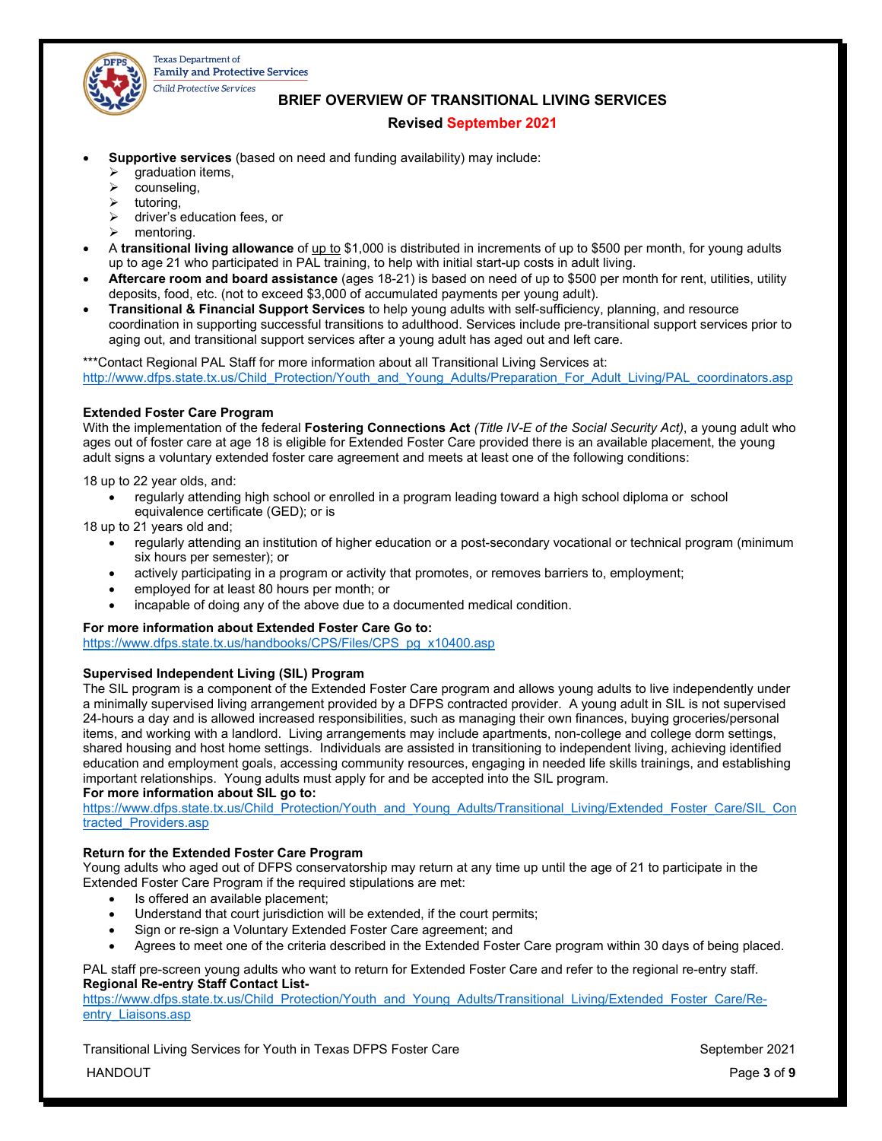

# **BRIEF OVERVIEW OF TRANSITIONAL LIVING SERVICES**

# **Revised September 2021**

- **Supportive services** (based on need and funding availability) may include:
	- graduation items,
	- $\triangleright$  counseling,
	- $\triangleright$  tutoring,
	- > driver's education fees, or
	- $\triangleright$  mentoring.
- A **transitional living allowance** of up to \$1,000 is distributed in increments of up to \$500 per month, for young adults up to age 21 who participated in PAL training, to help with initial start-up costs in adult living.
- **Aftercare room and board assistance** (ages 18-21) is based on need of up to \$500 per month for rent, utilities, utility deposits, food, etc. (not to exceed \$3,000 of accumulated payments per young adult).
- **Transitional & Financial Support Services** to help young adults with self-sufficiency, planning, and resource coordination in supporting successful transitions to adulthood. Services include pre-transitional support services prior to aging out, and transitional support services after a young adult has aged out and left care.

\*\*\*Contact Regional PAL Staff for more information about all Transitional Living Services at: [http://www.dfps.state.tx.us/Child\\_Protection/Youth\\_and\\_Young\\_Adults/Preparation\\_For\\_Adult\\_Living/PAL\\_coordinators.asp](http://www.dfps.state.tx.us/Child_Protection/Youth_and_Young_Adults/Preparation_For_Adult_Living/PAL_coordinators.asp)

# **Extended Foster Care Program**

With the implementation of the federal **Fostering Connections Act** *(Title IV-E of the Social Security Act)*, a young adult who ages out of foster care at age 18 is eligible for Extended Foster Care provided there is an available placement, the young adult signs a voluntary extended foster care agreement and meets at least one of the following conditions:

18 up to 22 year olds, and:

• regularly attending high school or enrolled in a program leading toward a high school diploma or school equivalence certificate (GED); or is

18 up to 21 years old and;

- regularly attending an institution of higher education or a post-secondary vocational or technical program (minimum six hours per semester); or
- actively participating in a program or activity that promotes, or removes barriers to, employment;
- employed for at least 80 hours per month; or
- incapable of doing any of the above due to a documented medical condition.

# **For more information about Extended Foster Care Go to:**

[https://www.dfps.state.tx.us/handbooks/CPS/Files/CPS\\_pg\\_x10400.asp](https://www.dfps.state.tx.us/handbooks/CPS/Files/CPS_pg_x10400.asp)

# **Supervised Independent Living (SIL) Program**

The SIL program is a component of the Extended Foster Care program and allows young adults to live independently under a minimally supervised living arrangement provided by a DFPS contracted provider. A young adult in SIL is not supervised 24-hours a day and is allowed increased responsibilities, such as managing their own finances, buying groceries/personal items, and working with a landlord. Living arrangements may include apartments, non-college and college dorm settings, shared housing and host home settings. Individuals are assisted in transitioning to independent living, achieving identified education and employment goals, accessing community resources, engaging in needed life skills trainings, and establishing important relationships. Young adults must apply for and be accepted into the SIL program.

# **For more information about SIL go to:**

[https://www.dfps.state.tx.us/Child\\_Protection/Youth\\_and\\_Young\\_Adults/Transitional\\_Living/Extended\\_Foster\\_Care/SIL\\_Con](https://www.dfps.state.tx.us/Child_Protection/Youth_and_Young_Adults/Transitional_Living/Extended_Foster_Care/SIL_Contracted_Providers.asp) [tracted\\_Providers.asp](https://www.dfps.state.tx.us/Child_Protection/Youth_and_Young_Adults/Transitional_Living/Extended_Foster_Care/SIL_Contracted_Providers.asp)

# **Return for the Extended Foster Care Program**

Young adults who aged out of DFPS conservatorship may return at any time up until the age of 21 to participate in the Extended Foster Care Program if the required stipulations are met:

- Is offered an available placement:
- Understand that court jurisdiction will be extended, if the court permits;
- Sign or re-sign a Voluntary Extended Foster Care agreement; and
- Agrees to meet one of the criteria described in the Extended Foster Care program within 30 days of being placed.

### PAL staff pre-screen young adults who want to return for Extended Foster Care and refer to the regional re-entry staff. **Regional Re-entry Staff Contact List-**

[https://www.dfps.state.tx.us/Child\\_Protection/Youth\\_and\\_Young\\_Adults/Transitional\\_Living/Extended\\_Foster\\_Care/Re](https://www.dfps.state.tx.us/Child_Protection/Youth_and_Young_Adults/Transitional_Living/Extended_Foster_Care/Re-entry_Liaisons.asp)entry Liaisons.asp

Transitional Living Services for Youth in Texas DFPS Foster Care September 2021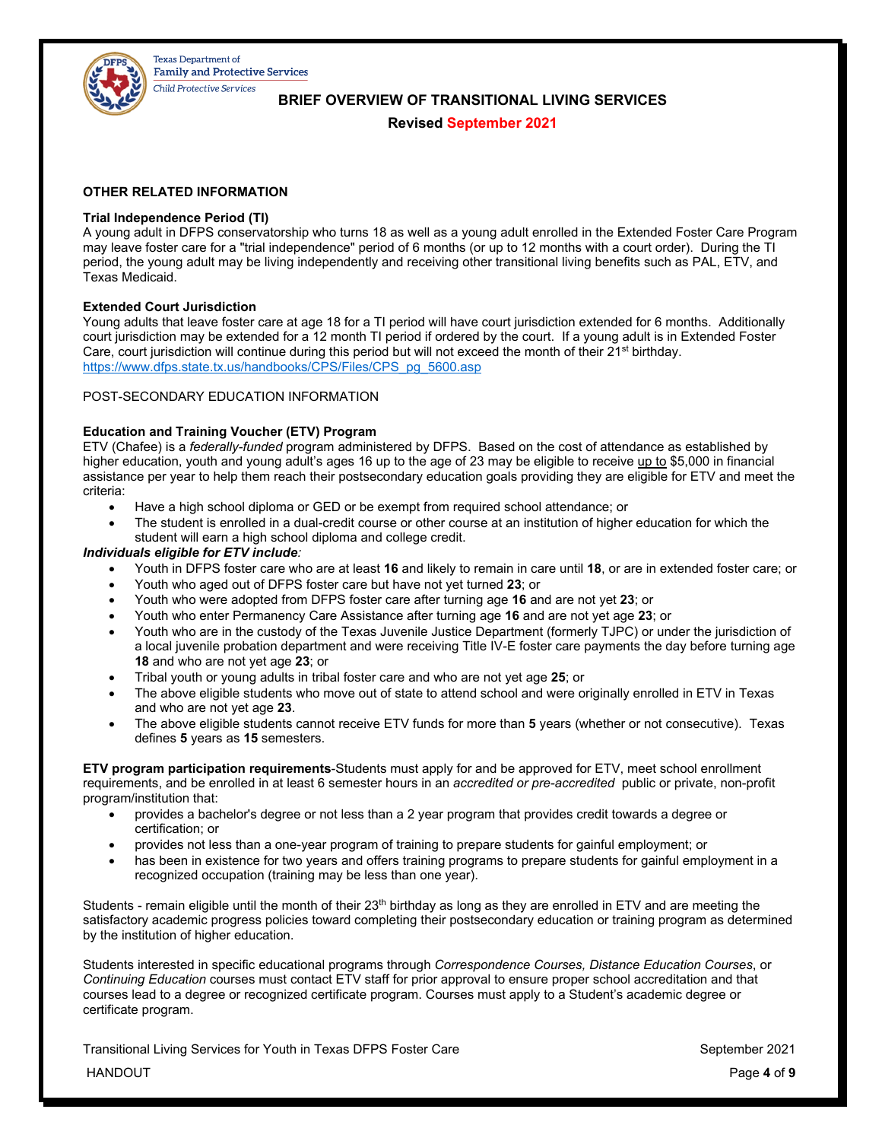

**BRIEF OVERVIEW OF TRANSITIONAL LIVING SERVICES**

# **Revised September 2021**

# **OTHER RELATED INFORMATION**

# **Trial Independence Period (TI)**

A young adult in DFPS conservatorship who turns 18 as well as a young adult enrolled in the Extended Foster Care Program may leave foster care for a "trial independence" period of 6 months (or up to 12 months with a court order). During the TI period, the young adult may be living independently and receiving other transitional living benefits such as PAL, ETV, and Texas Medicaid.

# **Extended Court Jurisdiction**

Young adults that leave foster care at age 18 for a TI period will have court jurisdiction extended for 6 months. Additionally court jurisdiction may be extended for a 12 month TI period if ordered by the court. If a young adult is in Extended Foster Care, court jurisdiction will continue during this period but will not exceed the month of their 21<sup>st</sup> birthday. [https://www.dfps.state.tx.us/handbooks/CPS/Files/CPS\\_pg\\_5600.asp](https://www.dfps.state.tx.us/handbooks/CPS/Files/CPS_pg_5600.asp)

# POST-SECONDARY EDUCATION INFORMATION

# **Education and Training Voucher (ETV) Program**

ETV (Chafee) is a *federally-funded* program administered by DFPS.Based on the cost of attendance as established by higher education, youth and young adult's ages 16 up to the age of 23 may be eligible to receive up to \$5,000 in financial assistance per year to help them reach their postsecondary education goals providing they are eligible for ETV and meet the criteria:

- Have a high school diploma or GED or be exempt from required school attendance; or
- The student is enrolled in a dual-credit course or other course at an institution of higher education for which the student will earn a high school diploma and college credit.

# *Individuals eligible for ETV include:*

- Youth in DFPS foster care who are at least **16** and likely to remain in care until **18**, or are in extended foster care; or
- Youth who aged out of DFPS foster care but have not yet turned **23**; or
- Youth who were adopted from DFPS foster care after turning age **16** and are not yet **23**; or
- Youth who enter Permanency Care Assistance after turning age **16** and are not yet age **23**; or
- Youth who are in the custody of the Texas Juvenile Justice Department (formerly TJPC) or under the jurisdiction of a local juvenile probation department and were receiving Title IV-E foster care payments the day before turning age **18** and who are not yet age **23**; or
- Tribal youth or young adults in tribal foster care and who are not yet age **25**; or
- The above eligible students who move out of state to attend school and were originally enrolled in ETV in Texas and who are not yet age **23**.
- The above eligible students cannot receive ETV funds for more than **5** years (whether or not consecutive). Texas defines **5** years as **15** semesters.

**ETV program participation requirements**-Students must apply for and be approved for ETV, meet school enrollment requirements, and be enrolled in at least 6 semester hours in an *accredited or pre-accredited* public or private, non-profit program/institution that:

- provides a bachelor's degree or not less than a 2 year program that provides credit towards a degree or certification; or
- provides not less than a one-year program of training to prepare students for gainful employment; or
- has been in existence for two years and offers training programs to prepare students for gainful employment in a recognized occupation (training may be less than one year).

Students - remain eligible until the month of their  $23<sup>th</sup>$  birthday as long as they are enrolled in ETV and are meeting the satisfactory academic progress policies toward completing their postsecondary education or training program as determined by the institution of higher education.

Students interested in specific educational programs through *Correspondence Courses, Distance Education Courses*, or *Continuing Education* courses must contact ETV staff for prior approval to ensure proper school accreditation and that courses lead to a degree or recognized certificate program. Courses must apply to a Student's academic degree or certificate program.

Transitional Living Services for Youth in Texas DFPS Foster Care September 2021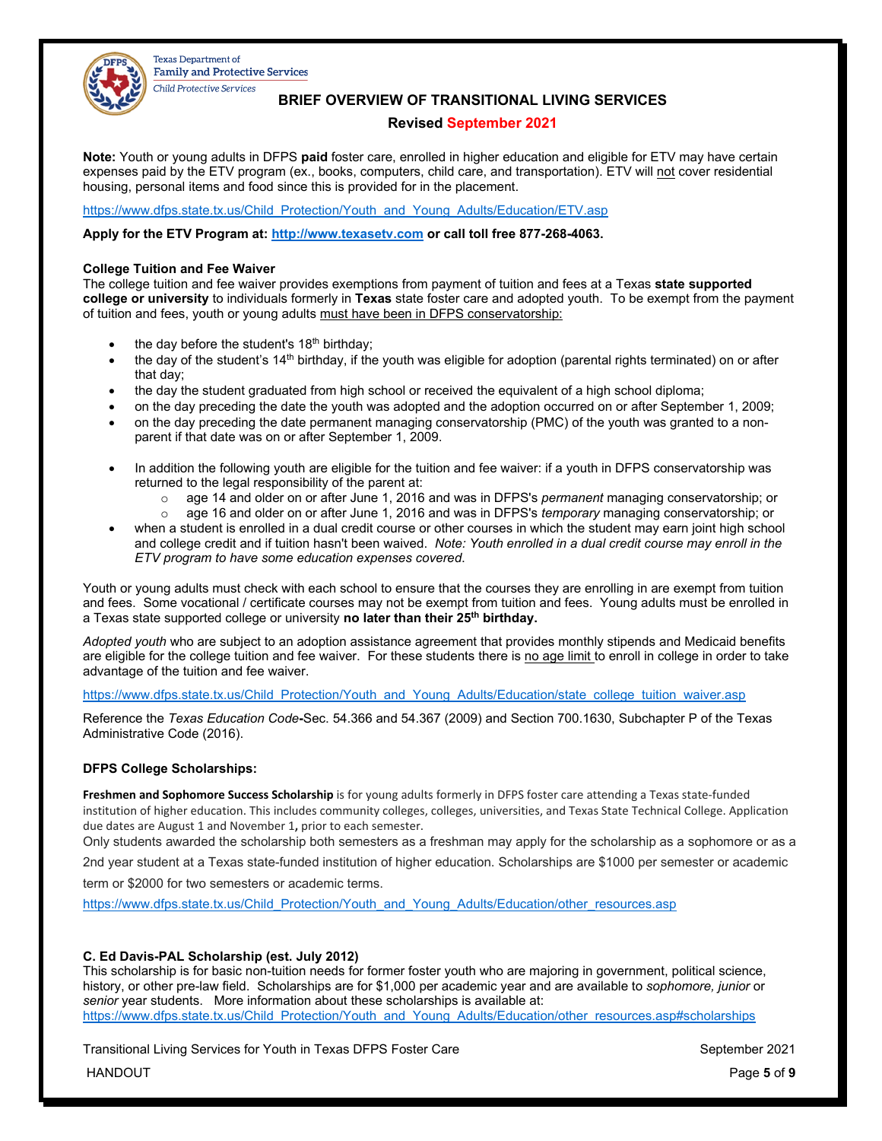

**BRIEF OVERVIEW OF TRANSITIONAL LIVING SERVICES**

# **Revised September 2021**

**Note:** Youth or young adults in DFPS **paid** foster care, enrolled in higher education and eligible for ETV may have certain expenses paid by the ETV program (ex., books, computers, child care, and transportation). ETV will not cover residential housing, personal items and food since this is provided for in the placement.

[https://www.dfps.state.tx.us/Child\\_Protection/Youth\\_and\\_Young\\_Adults/Education/ETV.asp](https://www.dfps.state.tx.us/Child_Protection/Youth_and_Young_Adults/Education/ETV.asp)

**Apply for the ETV Program at: [http://www.texasetv.com](http://www.texasetv.com/) or call toll free 877-268-4063.** 

### **College Tuition and Fee Waiver**

The college tuition and fee waiver provides exemptions from payment of tuition and fees at a Texas **state supported college or university** to individuals formerly in **Texas** state foster care and adopted youth. To be exempt from the payment of tuition and fees, youth or young adults must have been in DFPS conservatorship:

- the day before the student's  $18<sup>th</sup>$  birthday;
- the day of the student's  $14<sup>th</sup>$  birthday, if the youth was eligible for adoption (parental rights terminated) on or after that day;
- the day the student graduated from high school or received the equivalent of a high school diploma;
- on the day preceding the date the youth was adopted and the adoption occurred on or after September 1, 2009;
- on the day preceding the date permanent managing conservatorship (PMC) of the youth was granted to a nonparent if that date was on or after September 1, 2009.
- In addition the following youth are eligible for the tuition and fee waiver: if a youth in DFPS conservatorship was returned to the legal responsibility of the parent at:
	- o age 14 and older on or after June 1, 2016 and was in DFPS's *permanent* managing conservatorship; or
	- age 16 and older on or after June 1, 2016 and was in DFPS's *temporary* managing conservatorship; or • when a student is enrolled in a dual credit course or other courses in which the student may earn joint high school
- and college credit and if tuition hasn't been waived. *Note: Youth enrolled in a dual credit course may enroll in the ETV program to have some education expenses covered*.

Youth or young adults must check with each school to ensure that the courses they are enrolling in are exempt from tuition and fees. Some vocational / certificate courses may not be exempt from tuition and fees. Young adults must be enrolled in a Texas state supported college or university **no later than their 25th birthday.** 

*Adopted youth* who are subject to an adoption assistance agreement that provides monthly stipends and Medicaid benefits are eligible for the college tuition and fee waiver. For these students there is no age limit to enroll in college in order to take advantage of the tuition and fee waiver.

[https://www.dfps.state.tx.us/Child\\_Protection/Youth\\_and\\_Young\\_Adults/Education/state\\_college\\_tuition\\_waiver.asp](https://www.dfps.state.tx.us/Child_Protection/Youth_and_Young_Adults/Education/state_college_tuition_waiver.asp)

Reference the *Texas Education Code***-**Sec. 54.366 and 54.367 (2009) and Section 700.1630, Subchapter P of the Texas Administrative Code (2016).

# **DFPS College Scholarships:**

**Freshmen and Sophomore Success Scholarship** is for young adults formerly in DFPS foster care attending a Texas state-funded institution of higher education. This includes community colleges, colleges, universities, and Texas State Technical College. Application due dates are August 1 and November 1**,** prior to each semester.

Only students awarded the scholarship both semesters as a freshman may apply for the scholarship as a sophomore or as a

2nd year student at a Texas state-funded institution of higher education. Scholarships are \$1000 per semester or academic

term or \$2000 for two semesters or academic terms.

[https://www.dfps.state.tx.us/Child\\_Protection/Youth\\_and\\_Young\\_Adults/Education/other\\_resources.asp](https://nam12.safelinks.protection.outlook.com/?url=https%3A%2F%2Fwww.dfps.state.tx.us%2FChild_Protection%2FYouth_and_Young_Adults%2FEducation%2Fother_resources.asp&data=04%7C01%7CTodd.Serpico%40dfps.texas.gov%7C1be9a9c2de4f44bb720b08d96efc44ba%7C0915ef3812cd4561ab809c7f41bfb31e%7C0%7C0%7C637662853819991461%7CUnknown%7CTWFpbGZsb3d8eyJWIjoiMC4wLjAwMDAiLCJQIjoiV2luMzIiLCJBTiI6Ik1haWwiLCJXVCI6Mn0%3D%7C1000&sdata=9fDOTwVlbtWDRhND40uZYviSx9cxdyMgfz34oZhdDZA%3D&reserved=0)

# **C. Ed Davis-PAL Scholarship (est. July 2012)**

This scholarship is for basic non-tuition needs for former foster youth who are majoring in government, political science, history, or other pre-law field. Scholarships are for \$1,000 per academic year and are available to *sophomore, junior* or *senior* year students. More information about these scholarships is available at: [https://www.dfps.state.tx.us/Child\\_Protection/Youth\\_and\\_Young\\_Adults/Education/other\\_resources.asp#scholarships](https://www.dfps.state.tx.us/Child_Protection/Youth_and_Young_Adults/Education/other_resources.asp#scholarships)

Transitional Living Services for Youth in Texas DFPS Foster Care September 2021

HANDOUT Page **5** of **9**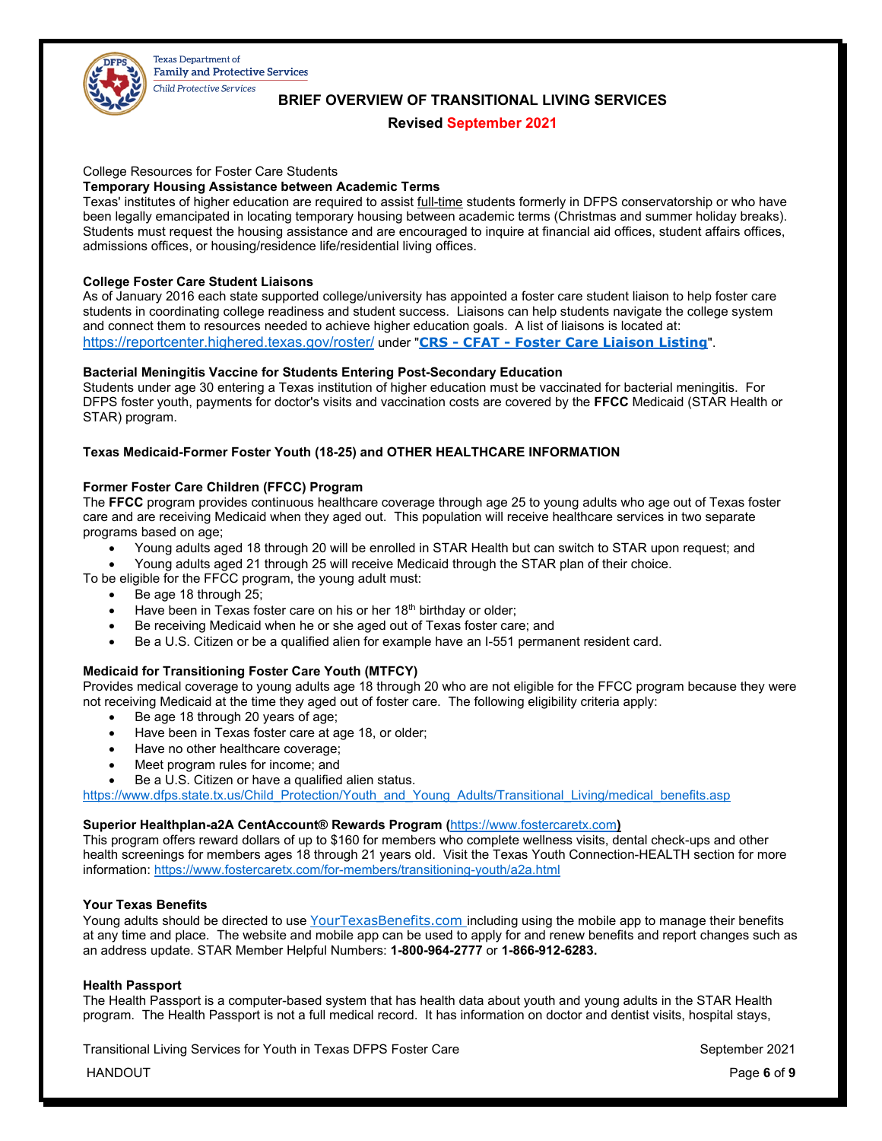

# **BRIEF OVERVIEW OF TRANSITIONAL LIVING SERVICES**

# **Revised September 2021**

# College Resources for Foster Care Students

### **Temporary Housing Assistance between Academic Terms**

Texas' institutes of higher education are required to assist full-time students formerly in DFPS conservatorship or who have been legally emancipated in locating temporary housing between academic terms (Christmas and summer holiday breaks). Students must request the housing assistance and are encouraged to inquire at financial aid offices, student affairs offices, admissions offices, or housing/residence life/residential living offices.

### **College Foster Care Student Liaisons**

As of January 2016 each state supported college/university has appointed a foster care student liaison to help foster care students in coordinating college readiness and student success. Liaisons can help students navigate the college system and connect them to resources needed to achieve higher education goals. A list of liaisons is located at: [https://reportcenter.highered.texas.gov/roster/](https://nam12.safelinks.protection.outlook.com/?url=https%3A%2F%2Freportcenter.highered.texas.gov%2Froster%2F&data=04%7C01%7CTodd.Serpico%40dfps.texas.gov%7Cca19ab15042f42b78cd708d94159f49c%7C0915ef3812cd4561ab809c7f41bfb31e%7C0%7C0%7C637612676876804684%7CUnknown%7CTWFpbGZsb3d8eyJWIjoiMC4wLjAwMDAiLCJQIjoiV2luMzIiLCJBTiI6Ik1haWwiLCJXVCI6Mn0%3D%7C1000&sdata=8pggCuhRQZNALgMJpzC99KL4Fw9kZ3%2BzerOQVdQzq20%3D&reserved=0) under "**CRS - CFAT - [Foster Care Liaison Listing](https://reportcenter.highered.texas.gov/roster/crs-cfat-foster-care-liaison-listing/)**".

# **Bacterial Meningitis Vaccine for Students Entering Post-Secondary Education**

Students under age 30 entering a Texas institution of higher education must be vaccinated for bacterial meningitis. For DFPS foster youth, payments for doctor's visits and vaccination costs are covered by the **FFCC** Medicaid (STAR Health or STAR) program.

# **Texas Medicaid-Former Foster Youth (18-25) and OTHER HEALTHCARE INFORMATION**

### **Former Foster Care Children (FFCC) Program**

The **FFCC** program provides continuous healthcare coverage through age 25 to young adults who age out of Texas foster care and are receiving Medicaid when they aged out. This population will receive healthcare services in two separate programs based on age;

• Young adults aged 18 through 20 will be enrolled in STAR Health but can switch to STAR upon request; and

• Young adults aged 21 through 25 will receive Medicaid through the STAR plan of their choice.

To be eligible for the FFCC program, the young adult must:

- Be age 18 through 25;
- Have been in Texas foster care on his or her 18<sup>th</sup> birthday or older;
- Be receiving Medicaid when he or she aged out of Texas foster care; and
- Be a U.S. Citizen or be a qualified alien for example have an I-551 permanent resident card.

### **Medicaid for Transitioning Foster Care Youth (MTFCY)**

Provides medical coverage to young adults age 18 through 20 who are not eligible for the FFCC program because they were not receiving Medicaid at the time they aged out of foster care. The following eligibility criteria apply:

- Be age 18 through 20 years of age;
- Have been in Texas foster care at age 18, or older;
- Have no other healthcare coverage;
- Meet program rules for income; and
- Be a U.S. Citizen or have a qualified alien status.

[https://www.dfps.state.tx.us/Child\\_Protection/Youth\\_and\\_Young\\_Adults/Transitional\\_Living/medical\\_benefits.asp](https://www.dfps.state.tx.us/Child_Protection/Youth_and_Young_Adults/Transitional_Living/medical_benefits.asp)

### **Superior Healthplan-a2A CentAccount® Rewards Program (**[https://www.fostercaretx.com](https://www.fostercaretx.com/)**)**

This program offers reward dollars of up to \$160 for members who complete wellness visits, dental check-ups and other health screenings for members ages 18 through 21 years old. Visit the Texas Youth Connection-HEALTH section for more information: <https://www.fostercaretx.com/for-members/transitioning-youth/a2a.html>

### **Your Texas Benefits**

Young adults should be directed to use [YourTexasBenefits.com](https://yourtexasbenefits.com/ssp/SSPHome/ssphome.jsp) including using the mobile app to manage their benefits at any time and place. The website and mobile app can be used to apply for and renew benefits and report changes such as an address update. STAR Member Helpful Numbers: **1-800-964-2777** or **1-866-912-6283.** 

### **Health Passport**

The Health Passport is a computer-based system that has health data about youth and young adults in the STAR Health program. The Health Passport is not a full medical record. It has information on doctor and dentist visits, hospital stays,

Transitional Living Services for Youth in Texas DFPS Foster Care New September 2021

HANDOUT Page **6** of **9**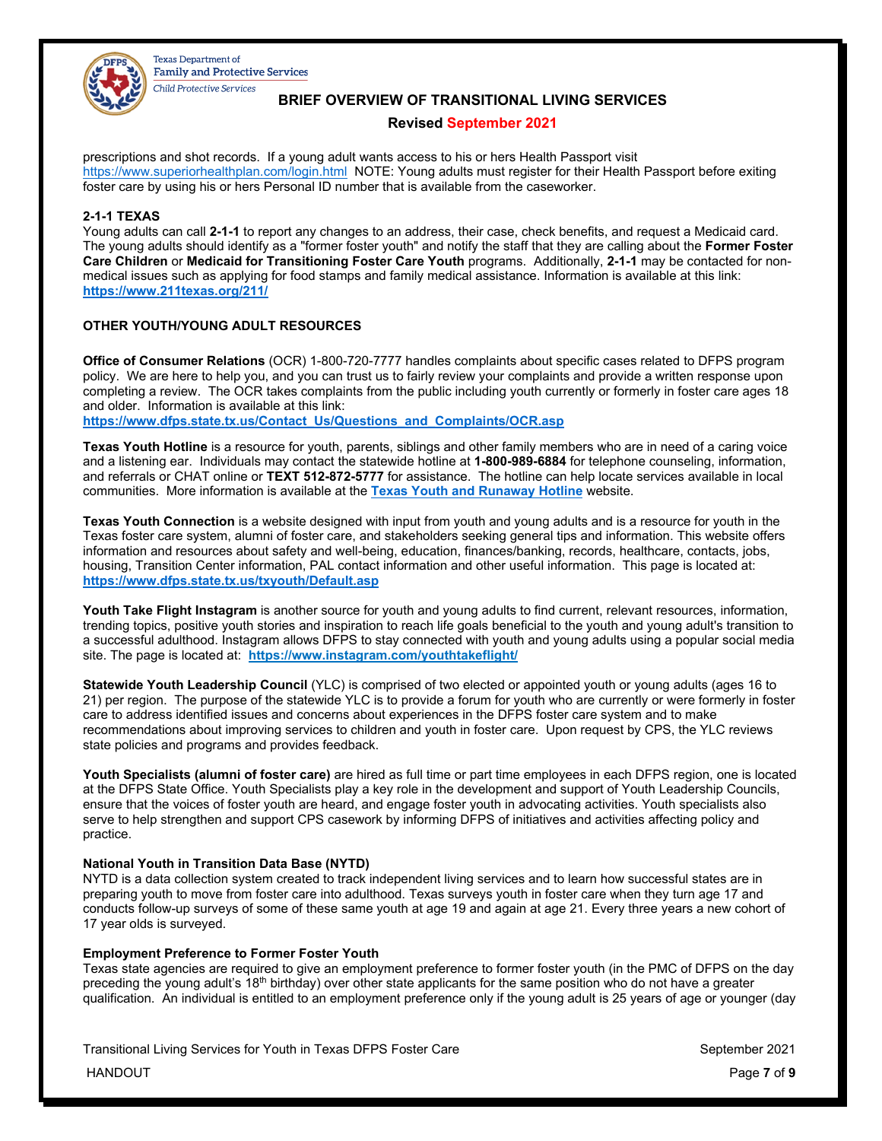

# **BRIEF OVERVIEW OF TRANSITIONAL LIVING SERVICES**

# **Revised September 2021**

prescriptions and shot records. If a young adult wants access to his or hers Health Passport visit <https://www.superiorhealthplan.com/login.html> NOTE: Young adults must register for their Health Passport before exiting foster care by using his or hers Personal ID number that is available from the caseworker.

# **2-1-1 TEXAS**

Young adults can call **2-1-1** to report any changes to an address, their case, check benefits, and request a Medicaid card. The young adults should identify as a "former foster youth" and notify the staff that they are calling about the **Former Foster Care Children** or **Medicaid for Transitioning Foster Care Youth** programs. Additionally, **2-1-1** may be contacted for nonmedical issues such as applying for food stamps and family medical assistance. Information is available at this link: **<https://www.211texas.org/211/>**

# **OTHER YOUTH/YOUNG ADULT RESOURCES**

**Office of Consumer Relations** (OCR) 1-800-720-7777 handles complaints about specific cases related to DFPS program policy. We are here to help you, and you can trust us to fairly review your complaints and provide a written response upon completing a review. The OCR takes complaints from the public including youth currently or formerly in foster care ages 18 and older. Information is available at this link:

**[https://www.dfps.state.tx.us/Contact\\_Us/Questions\\_and\\_Complaints/OCR.asp](https://www.dfps.state.tx.us/Contact_Us/Questions_and_Complaints/OCR.asp)**

**Texas Youth Hotline** is a resource for youth, parents, siblings and other family members who are in need of a caring voice and a listening ear. Individuals may contact the statewide hotline at **1-800-989-6884** for telephone counseling, information, and referrals or CHAT online or **TEXT 512-872-5777** for assistance. The hotline can help locate services available in local communities. More information is available at the **[Texas Youth and Runaway Hotline](http://www.dfps.state.tx.us/Youth_Hotline/default.asp)** website.

**Texas Youth Connection** is a website designed with input from youth and young adults and is a resource for youth in the Texas foster care system, alumni of foster care, and stakeholders seeking general tips and information. This website offers information and resources about safety and well-being, education, finances/banking, records, healthcare, contacts, jobs, housing, Transition Center information, PAL contact information and other useful information. This page is located at: **<https://www.dfps.state.tx.us/txyouth/Default.asp>**

**Youth Take Flight Instagram** is another source for youth and young adults to find current, relevant resources, information, trending topics, positive youth stories and inspiration to reach life goals beneficial to the youth and young adult's transition to a successful adulthood. Instagram allows DFPS to stay connected with youth and young adults using a popular social media site. The page is located at: **https://www.instagram.com/youthtakeflight/**

**Statewide Youth Leadership Council** (YLC) is comprised of two elected or appointed youth or young adults (ages 16 to 21) per region. The purpose of the statewide YLC is to provide a forum for youth who are currently or were formerly in foster care to address identified issues and concerns about experiences in the DFPS foster care system and to make recommendations about improving services to children and youth in foster care. Upon request by CPS, the YLC reviews state policies and programs and provides feedback.

**Youth Specialists (alumni of foster care)** are hired as full time or part time employees in each DFPS region, one is located at the DFPS State Office. Youth Specialists play a key role in the development and support of Youth Leadership Councils, ensure that the voices of foster youth are heard, and engage foster youth in advocating activities. Youth specialists also serve to help strengthen and support CPS casework by informing DFPS of initiatives and activities affecting policy and practice.

# **National Youth in Transition Data Base (NYTD)**

NYTD is a data collection system created to track independent living services and to learn how successful states are in preparing youth to move from foster care into adulthood. Texas surveys youth in foster care when they turn age 17 and conducts follow-up surveys of some of these same youth at age 19 and again at age 21. Every three years a new cohort of 17 year olds is surveyed.

### **Employment Preference to Former Foster Youth**

Texas state agencies are required to give an employment preference to former foster youth (in the PMC of DFPS on the day preceding the young adult's 18th birthday) over other state applicants for the same position who do not have a greater qualification. An individual is entitled to an employment preference only if the young adult is 25 years of age or younger (day

Transitional Living Services for Youth in Texas DFPS Foster Care New September 2021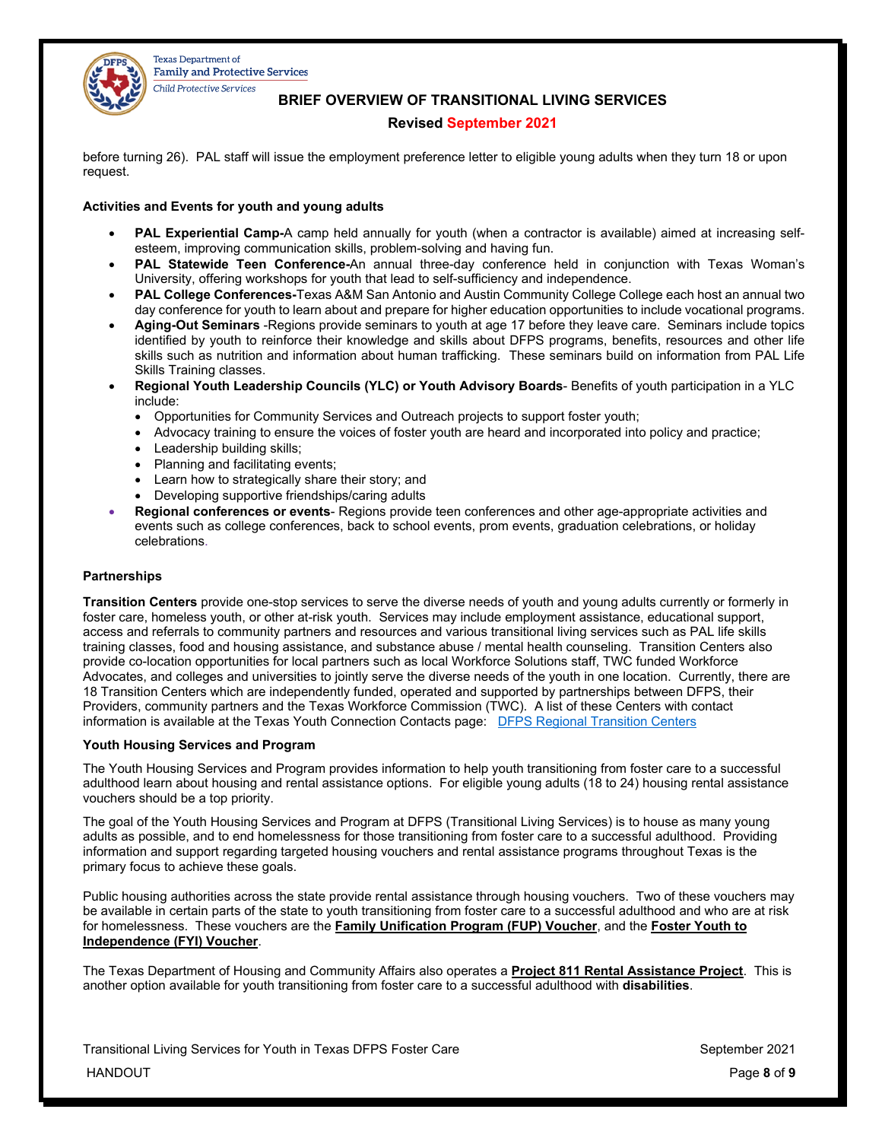

**BRIEF OVERVIEW OF TRANSITIONAL LIVING SERVICES**

# **Revised September 2021**

before turning 26). PAL staff will issue the employment preference letter to eligible young adults when they turn 18 or upon request.

# **Activities and Events for youth and young adults**

- **PAL Experiential Camp-**A camp held annually for youth (when a contractor is available) aimed at increasing selfesteem, improving communication skills, problem-solving and having fun.
- **PAL Statewide Teen Conference-**An annual three-day conference held in conjunction with Texas Woman's University, offering workshops for youth that lead to self-sufficiency and independence.
- **PAL College Conferences-**Texas A&M San Antonio and Austin Community College College each host an annual two day conference for youth to learn about and prepare for higher education opportunities to include vocational programs.
- **Aging-Out Seminars** -Regions provide seminars to youth at age 17 before they leave care. Seminars include topics identified by youth to reinforce their knowledge and skills about DFPS programs, benefits, resources and other life skills such as nutrition and information about human trafficking. These seminars build on information from PAL Life Skills Training classes.
- **Regional Youth Leadership Councils (YLC) or Youth Advisory Boards** Benefits of youth participation in a YLC include:
	- Opportunities for Community Services and Outreach projects to support foster youth;
	- Advocacy training to ensure the voices of foster youth are heard and incorporated into policy and practice;
	- Leadership building skills;
	- Planning and facilitating events:
	- Learn how to strategically share their story; and
	- Developing supportive friendships/caring adults
- **Regional conferences or events** Regions provide teen conferences and other age-appropriate activities and events such as college conferences, back to school events, prom events, graduation celebrations, or holiday celebrations.

# **Partnerships**

**Transition Centers** provide one-stop services to serve the diverse needs of youth and young adults currently or formerly in foster care, homeless youth, or other at-risk youth. Services may include employment assistance, educational support, access and referrals to community partners and resources and various transitional living services such as PAL life skills training classes, food and housing assistance, and substance abuse / mental health counseling. Transition Centers also provide co-location opportunities for local partners such as local Workforce Solutions staff, TWC funded Workforce Advocates, and colleges and universities to jointly serve the diverse needs of the youth in one location. Currently, there are 18 Transition Centers which are independently funded, operated and supported by partnerships between DFPS, their Providers, community partners and the Texas Workforce Commission (TWC). A list of these Centers with contact information is available at the Texas Youth Connection Contacts page:[DFPS Regional Transition Centers](https://nam12.safelinks.protection.outlook.com/?url=https%3A%2F%2Fwww.dfps.state.tx.us%2FChild_Protection%2FYouth_and_Young_Adults%2FTransitional_Living%2Ftransition_centers.asp&data=04%7C01%7CTodd.Serpico%40dfps.texas.gov%7C1be9a9c2de4f44bb720b08d96efc44ba%7C0915ef3812cd4561ab809c7f41bfb31e%7C0%7C0%7C637662853820001417%7CUnknown%7CTWFpbGZsb3d8eyJWIjoiMC4wLjAwMDAiLCJQIjoiV2luMzIiLCJBTiI6Ik1haWwiLCJXVCI6Mn0%3D%7C1000&sdata=QrJILlWMl3Xo6IFz3P%2B%2BQd1LdqwWI50qhsdf3iLpcIE%3D&reserved=0)

# **Youth Housing Services and Program**

The Youth Housing Services and Program provides information to help youth transitioning from foster care to a successful adulthood learn about housing and rental assistance options. For eligible young adults (18 to 24) housing rental assistance vouchers should be a top priority.

The goal of the Youth Housing Services and Program at DFPS (Transitional Living Services) is to house as many young adults as possible, and to end homelessness for those transitioning from foster care to a successful adulthood. Providing information and support regarding targeted housing vouchers and rental assistance programs throughout Texas is the primary focus to achieve these goals.

Public housing authorities across the state provide rental assistance through housing vouchers. Two of these vouchers may be available in certain parts of the state to youth transitioning from foster care to a successful adulthood and who are at risk for homelessness. These vouchers are the **Family Unification Program (FUP) Voucher**, and the **Foster Youth to Independence (FYI) Voucher**.

The Texas Department of Housing and Community Affairs also operates a **Project 811 Rental Assistance Project**. This is another option available for youth transitioning from foster care to a successful adulthood with **disabilities**.